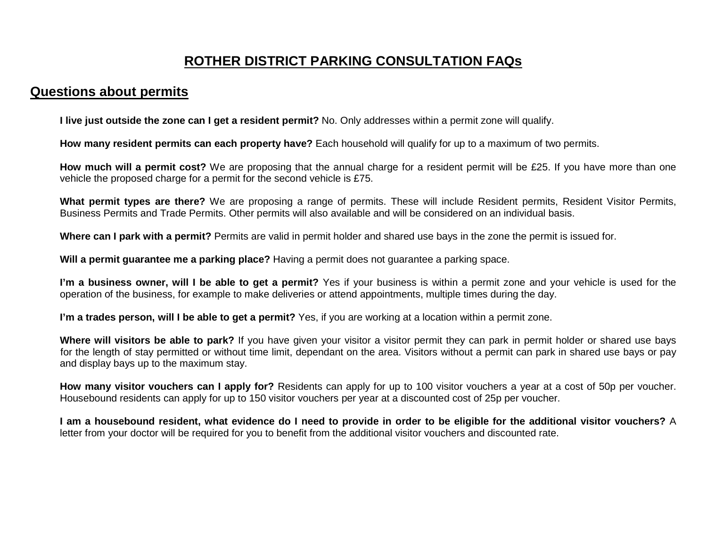# **ROTHER DISTRICT PARKING CONSULTATION FAQs**

#### **Questions about permits**

**I live just outside the zone can I get a resident permit?** No. Only addresses within a permit zone will qualify.

**How many resident permits can each property have?** Each household will qualify for up to a maximum of two permits.

**How much will a permit cost?** We are proposing that the annual charge for a resident permit will be £25. If you have more than one vehicle the proposed charge for a permit for the second vehicle is £75.

**What permit types are there?** We are proposing a range of permits. These will include Resident permits, Resident Visitor Permits, Business Permits and Trade Permits. Other permits will also available and will be considered on an individual basis.

**Where can I park with a permit?** Permits are valid in permit holder and shared use bays in the zone the permit is issued for.

**Will a permit guarantee me a parking place?** Having a permit does not guarantee a parking space.

**I'm a business owner, will I be able to get a permit?** Yes if your business is within a permit zone and your vehicle is used for the operation of the business, for example to make deliveries or attend appointments, multiple times during the day.

**I'm a trades person, will I be able to get a permit?** Yes, if you are working at a location within a permit zone.

**Where will visitors be able to park?** If you have given your visitor a visitor permit they can park in permit holder or shared use bays for the length of stay permitted or without time limit, dependant on the area. Visitors without a permit can park in shared use bays or pay and display bays up to the maximum stay.

**How many visitor vouchers can I apply for?** Residents can apply for up to 100 visitor vouchers a year at a cost of 50p per voucher. Housebound residents can apply for up to 150 visitor vouchers per year at a discounted cost of 25p per voucher.

**I am a housebound resident, what evidence do I need to provide in order to be eligible for the additional visitor vouchers?** A letter from your doctor will be required for you to benefit from the additional visitor vouchers and discounted rate.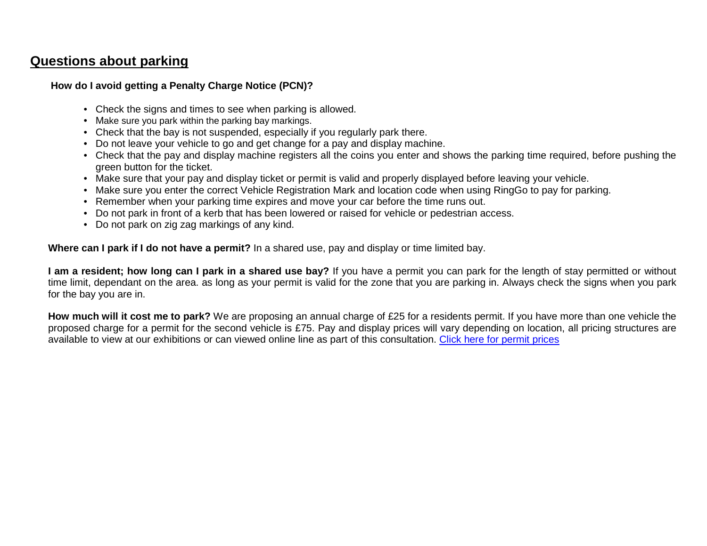## **Questions about parking**

#### **How do I avoid getting a Penalty Charge Notice (PCN)?**

- Check the signs and times to see when parking is allowed.
- Make sure you park within the parking bay markings.
- Check that the bay is not suspended, especially if you regularly park there.
- Do not leave your vehicle to go and get change for a pay and display machine.
- Check that the pay and display machine registers all the coins you enter and shows the parking time required, before pushing the green button for the ticket.
- Make sure that your pay and display ticket or permit is valid and properly displayed before leaving your vehicle.
- Make sure you enter the correct Vehicle Registration Mark and location code when using RingGo to pay for parking.
- Remember when your parking time expires and move your car before the time runs out.
- Do not park in front of a kerb that has been lowered or raised for vehicle or pedestrian access.
- Do not park on zig zag markings of any kind.

**Where can I park if I do not have a permit?** In a shared use, pay and display or time limited bay.

**I am a resident; how long can I park in a shared use bay?** If you have a permit you can park for the length of stay permitted or without time limit, dependant on the area. as long as your permit is valid for the zone that you are parking in. Always check the signs when you park for the bay you are in.

**How much will it cost me to park?** We are proposing an annual charge of £25 for a residents permit. If you have more than one vehicle the proposed charge for a permit for the second vehicle is £75. Pay and display prices will vary depending on location, all pricing structures are available to view at our exhibitions or can viewed online line as part of this consultation. Click here for permit prices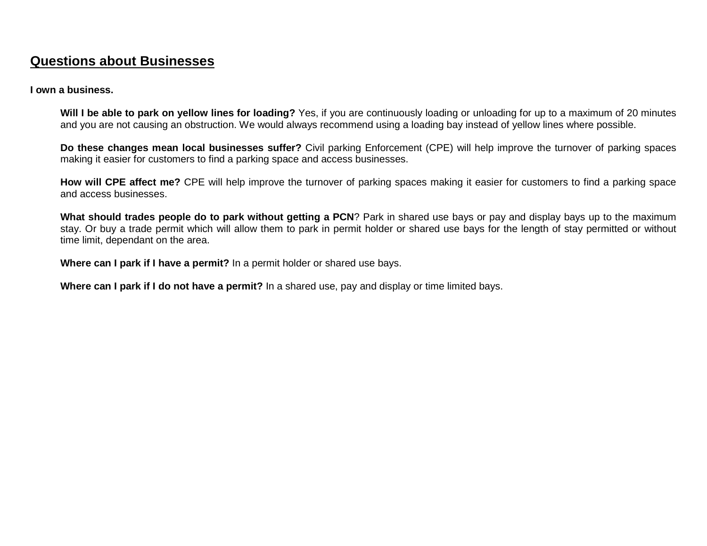# **Questions about Businesses**

#### **I own a business.**

**Will I be able to park on yellow lines for loading?** Yes, if you are continuously loading or unloading for up to a maximum of 20 minutes and you are not causing an obstruction. We would always recommend using a loading bay instead of yellow lines where possible.

**Do these changes mean local businesses suffer?** Civil parking Enforcement (CPE) will help improve the turnover of parking spaces making it easier for customers to find a parking space and access businesses.

**How will CPE affect me?** CPE will help improve the turnover of parking spaces making it easier for customers to find a parking space and access businesses.

**What should trades people do to park without getting a PCN**? Park in shared use bays or pay and display bays up to the maximum stay. Or buy a trade permit which will allow them to park in permit holder or shared use bays for the length of stay permitted or without time limit, dependant on the area.

**Where can I park if I have a permit?** In a permit holder or shared use bays.

**Where can I park if I do not have a permit?** In a shared use, pay and display or time limited bays.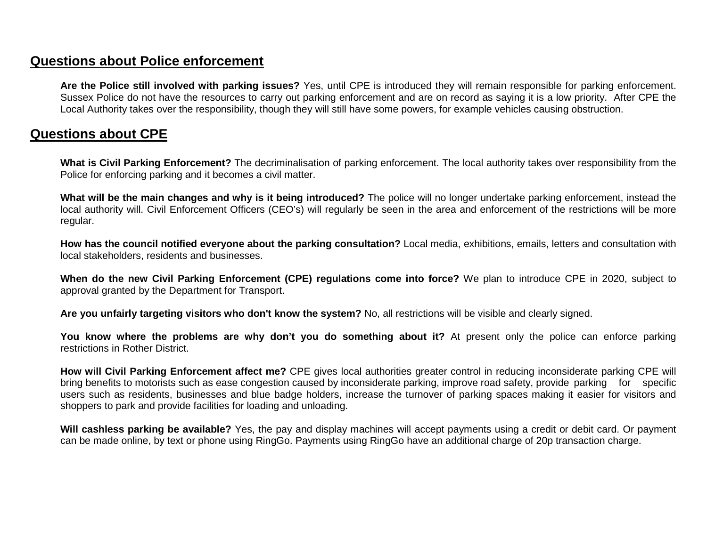### **Questions about Police enforcement**

**Are the Police still involved with parking issues?** Yes, until CPE is introduced they will remain responsible for parking enforcement. Sussex Police do not have the resources to carry out parking enforcement and are on record as saying it is a low priority. After CPE the Local Authority takes over the responsibility, though they will still have some powers, for example vehicles causing obstruction.

#### **Questions about CPE**

**What is Civil Parking Enforcement?** The decriminalisation of parking enforcement. The local authority takes over responsibility from the Police for enforcing parking and it becomes a civil matter.

**What will be the main changes and why is it being introduced?** The police will no longer undertake parking enforcement, instead the local authority will. Civil Enforcement Officers (CEO's) will regularly be seen in the area and enforcement of the restrictions will be more regular.

**How has the council notified everyone about the parking consultation?** Local media, exhibitions, emails, letters and consultation with local stakeholders, residents and businesses.

**When do the new Civil Parking Enforcement (CPE) regulations come into force?** We plan to introduce CPE in 2020, subject to approval granted by the Department for Transport.

**Are you unfairly targeting visitors who don't know the system?** No, all restrictions will be visible and clearly signed.

**You know where the problems are why don't you do something about it?** At present only the police can enforce parking restrictions in Rother District.

**How will Civil Parking Enforcement affect me?** CPE gives local authorities greater control in reducing inconsiderate parking CPE will bring benefits to motorists such as ease congestion caused by inconsiderate parking, improve road safety, provide parking for specific users such as residents, businesses and blue badge holders, increase the turnover of parking spaces making it easier for visitors and shoppers to park and provide facilities for loading and unloading.

**Will cashless parking be available?** Yes, the pay and display machines will accept payments using a credit or debit card. Or payment can be made online, by text or phone using RingGo. Payments using RingGo have an additional charge of 20p transaction charge.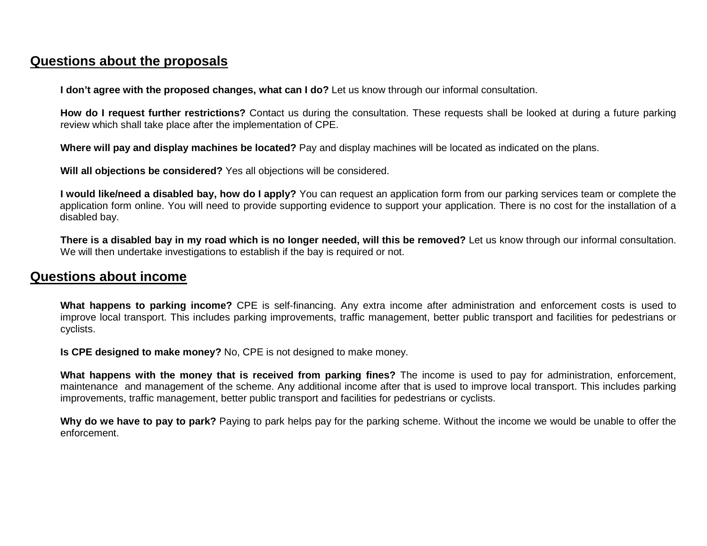## **Questions about the proposals**

**I don't agree with the proposed changes, what can I do?** Let us know through our informal consultation.

**How do I request further restrictions?** Contact us during the consultation. These requests shall be looked at during a future parking review which shall take place after the implementation of CPE.

**Where will pay and display machines be located?** Pay and display machines will be located as indicated on the plans.

**Will all objections be considered?** Yes all objections will be considered.

**I would like/need a disabled bay, how do I apply?** You can request an application form from our parking services team or complete the application form online. You will need to provide supporting evidence to support your application. There is no cost for the installation of a disabled bay.

**There is a disabled bay in my road which is no longer needed, will this be removed?** Let us know through our informal consultation. We will then undertake investigations to establish if the bay is required or not.

### **Questions about income**

**What happens to parking income?** CPE is self-financing. Any extra income after administration and enforcement costs is used to improve local transport. This includes parking improvements, traffic management, better public transport and facilities for pedestrians or cyclists.

**Is CPE designed to make money?** No, CPE is not designed to make money.

**What happens with the money that is received from parking fines?** The income is used to pay for administration, enforcement, maintenance and management of the scheme. Any additional income after that is used to improve local transport. This includes parking improvements, traffic management, better public transport and facilities for pedestrians or cyclists.

**Why do we have to pay to park?** Paying to park helps pay for the parking scheme. Without the income we would be unable to offer the enforcement.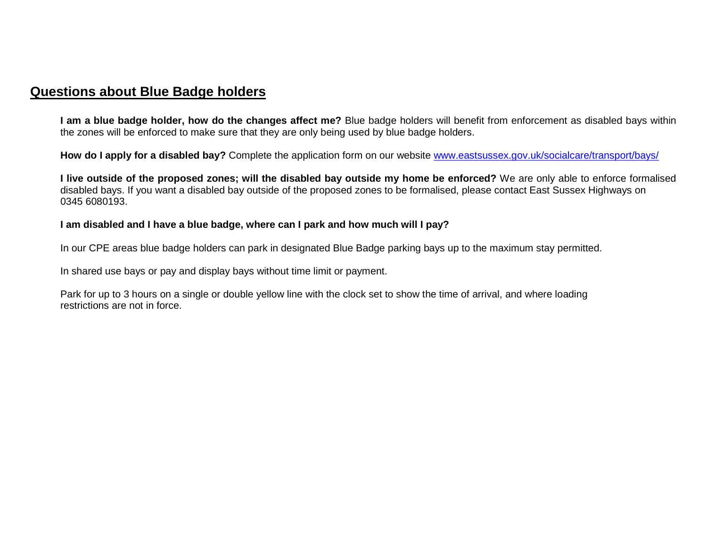## **Questions about Blue Badge holders**

**I am a blue badge holder, how do the changes affect me?** Blue badge holders will benefit from enforcement as disabled bays within the zones will be enforced to make sure that they are only being used by blue badge holders.

How do I apply for a disabled bay? Complete the application form on our website www.eastsussex.gov.uk/socialcare/transport/bays/

**I live outside of the proposed zones; will the disabled bay outside my home be enforced?** We are only able to enforce formalised disabled bays. If you want a disabled bay outside of the proposed zones to be formalised, please contact East Sussex Highways on 0345 6080193.

#### **I am disabled and I have a blue badge, where can I park and how much will I pay?**

In our CPE areas blue badge holders can park in designated Blue Badge parking bays up to the maximum stay permitted.

In shared use bays or pay and display bays without time limit or payment.

Park for up to 3 hours on a single or double yellow line with the clock set to show the time of arrival, and where loading restrictions are not in force.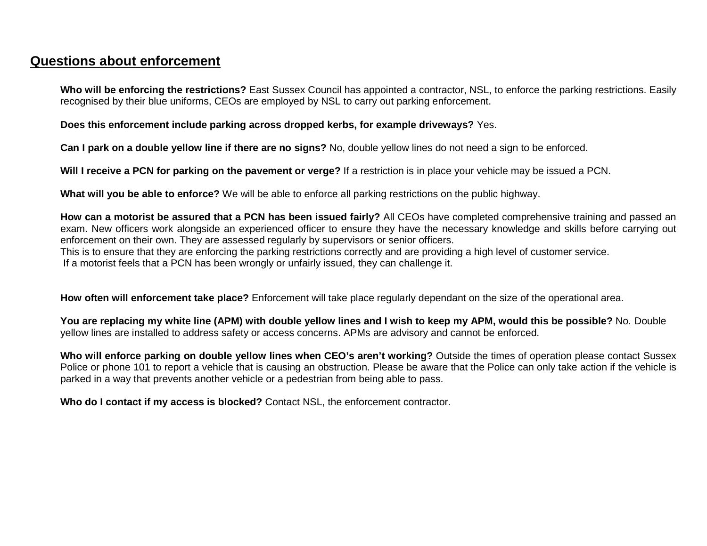# **Questions about enforcement**

**Who will be enforcing the restrictions?** East Sussex Council has appointed a contractor, NSL, to enforce the parking restrictions. Easily recognised by their blue uniforms, CEOs are employed by NSL to carry out parking enforcement.

**Does this enforcement include parking across dropped kerbs, for example driveways?** Yes.

**Can I park on a double yellow line if there are no signs?** No, double yellow lines do not need a sign to be enforced.

**Will I receive a PCN for parking on the pavement or verge?** If a restriction is in place your vehicle may be issued a PCN.

**What will you be able to enforce?** We will be able to enforce all parking restrictions on the public highway.

**How can a motorist be assured that a PCN has been issued fairly?** All CEOs have completed comprehensive training and passed an exam. New officers work alongside an experienced officer to ensure they have the necessary knowledge and skills before carrying out enforcement on their own. They are assessed regularly by supervisors or senior officers. This is to ensure that they are enforcing the parking restrictions correctly and are providing a high level of customer service. If a motorist feels that a PCN has been wrongly or unfairly issued, they can challenge it.

**How often will enforcement take place?** Enforcement will take place regularly dependant on the size of the operational area.

**You are replacing my white line (APM) with double yellow lines and I wish to keep my APM, would this be possible?** No. Double yellow lines are installed to address safety or access concerns. APMs are advisory and cannot be enforced.

**Who will enforce parking on double yellow lines when CEO's aren't working?** Outside the times of operation please contact Sussex Police or phone 101 to report a vehicle that is causing an obstruction. Please be aware that the Police can only take action if the vehicle is parked in a way that prevents another vehicle or a pedestrian from being able to pass.

**Who do I contact if my access is blocked?** Contact NSL, the enforcement contractor.